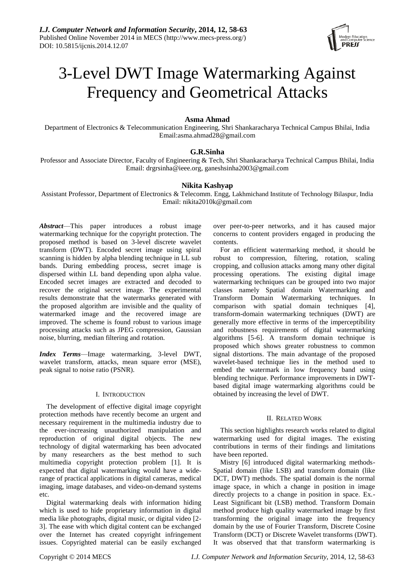

# 3-Level DWT Image Watermarking Against Frequency and Geometrical Attacks

## **Asma Ahmad**

Department of Electronics & Telecommunication Engineering, Shri Shankaracharya Technical Campus Bhilai, India Email:asma.ahmad28@gmail.com

# **G.R.Sinha**

Professor and Associate Director, Faculty of Engineering & Tech, Shri Shankaracharya Technical Campus Bhilai, India Email: [drgrsinha@ieee.org,](mailto:drgrsinha@ieee.org) ganeshsinha2003@gmail.com

## **Nikita Kashyap**

Assistant Professor, Department of Electronics & Telecomm. Engg, Lakhmichand Institute of Technology Bilaspur, India Email: nikita2010k@gmail.com

*Abstract*—This paper introduces a robust image watermarking technique for the copyright protection. The proposed method is based on 3-level discrete wavelet transform (DWT). Encoded secret image using spiral scanning is hidden by alpha blending technique in LL sub bands. During embedding process, secret image is dispersed within LL band depending upon alpha value. Encoded secret images are extracted and decoded to recover the original secret image. The experimental results demonstrate that the watermarks generated with the proposed algorithm are invisible and the quality of watermarked image and the recovered image are improved. The scheme is found robust to various image processing attacks such as JPEG compression, Gaussian noise, blurring, median filtering and rotation.

*Index Terms*—Image watermarking, 3-level DWT, wavelet transform, attacks, mean square error (MSE), peak signal to noise ratio (PSNR).

#### I. INTRODUCTION

The development of effective digital image copyright protection methods have recently become an urgent and necessary requirement in the multimedia industry due to the ever-increasing unauthorized manipulation and reproduction of original digital objects. The new technology of digital watermarking has been advocated by many researchers as the best method to such multimedia copyright protection problem [1]. It is expected that digital watermarking would have a widerange of practical applications in digital cameras, medical imaging, image databases, and video-on-demand systems etc.

Digital watermarking deals with information hiding which is used to hide proprietary information in digital media like photographs, digital music, or digital video [2- 3]. The ease with which digital content can be exchanged over the Internet has created copyright infringement issues. Copyrighted material can be easily exchanged

over peer-to-peer networks, and it has caused major concerns to content providers engaged in producing the contents.

For an efficient watermarking method, it should be robust to compression, filtering, rotation, scaling cropping, and collusion attacks among many other digital processing operations. The existing digital image watermarking techniques can be grouped into two major classes namely Spatial domain Watermarking and Transform Domain Watermarking techniques. In comparison with spatial domain techniques [4], transform-domain watermarking techniques (DWT) are generally more effective in terms of the imperceptibility and robustness requirements of digital watermarking algorithms [5-6]. A transform domain technique is proposed which shows greater robustness to common signal distortions. The main advantage of the proposed wavelet-based technique lies in the method used to embed the watermark in low frequency band using blending technique. Performance improvements in DWTbased digital image watermarking algorithms could be obtained by increasing the level of DWT.

## II. RELATED WORK

This section highlights research works related to digital watermarking used for digital images. The existing contributions in terms of their findings and limitations have been reported.

Mistry [6] introduced digital watermarking methods-Spatial domain (like LSB) and transform domain (like DCT, DWT) methods. The spatial domain is the normal image space, in which a change in position in image directly projects to a change in position in space. Ex.- Least Significant bit (LSB) method. Transform Domain method produce high quality watermarked image by first transforming the original image into the frequency domain by the use of Fourier Transform, Discrete Cosine Transform (DCT) or Discrete Wavelet transforms (DWT). It was observed that that transform watermarking is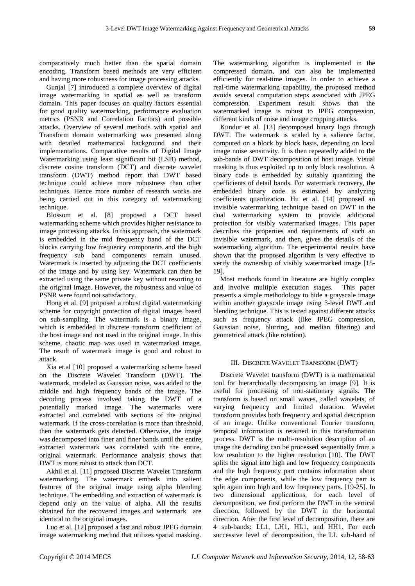comparatively much better than the spatial domain encoding. Transform based methods are very efficient and having more robustness for image processing attacks.

Gunjal [7] introduced a complete overview of digital image watermarking in spatial as well as transform domain. This paper focuses on quality factors essential for good quality watermarking, performance evaluation metrics (PSNR and Correlation Factors) and possible attacks. Overview of several methods with spatial and Transform domain watermarking was presented along with detailed mathematical background and their implementations. Comparative results of Digital Image Watermarking using least significant bit (LSB) method, discrete cosine transform (DCT) and discrete wavelet transform (DWT) method report that DWT based technique could achieve more robustness than other techniques. Hence more number of research works are being carried out in this category of watermarking technique.

Blossom et al. [8] proposed a DCT based watermarking scheme which provides higher resistance to image processing attacks. In this approach, the watermark is embedded in the mid frequency band of the DCT blocks carrying low frequency components and the high frequency sub band components remain unused. Watermark is inserted by adjusting the DCT coefficients of the image and by using key. Watermark can then be extracted using the same private key without resorting to the original image. However, the robustness and value of PSNR were found not satisfactory.

Hong et al. [9] proposed a robust digital watermarking scheme for copyright protection of digital images based on sub-sampling. The watermark is a binary image, which is embedded in discrete transform coefficient of the host image and not used in the original image. In this scheme, chaotic map was used in watermarked image. The result of watermark image is good and robust to attack.

Xia et.al [10] proposed a watermarking scheme based on the Discrete Wavelet Transform (DWT). The watermark, modeled as Gaussian noise, was added to the middle and high frequency bands of the image. The decoding process involved taking the DWT of a potentially marked image. The watermarks were extracted and correlated with sections of the original watermark. If the cross-correlation is more than threshold, then the watermark gets detected. Otherwise, the image was decomposed into finer and finer bands until the entire, extracted watermark was correlated with the entire, original watermark. Performance analysis shows that DWT is more robust to attack than DCT.

Akhil et al. [11] proposed Discrete Wavelet Transform watermarking. The watermark embeds into salient features of the original image using alpha blending technique. The embedding and extraction of watermark is depend only on the value of alpha. All the results obtained for the recovered images and watermark are identical to the original images.

Luo et al. [12] proposed a fast and robust JPEG domain image watermarking method that utilizes spatial masking.

The watermarking algorithm is implemented in the compressed domain, and can also be implemented efficiently for real-time images. In order to achieve a real-time watermarking capability, the proposed method avoids several computation steps associated with JPEG compression. Experiment result shows that the watermarked image is robust to JPEG compression, different kinds of noise and image cropping attacks.

Kundur et al. [13] decomposed binary logo through DWT. The watermark is scaled by a salience factor, computed on a block by block basis, depending on local image noise sensitivity. It is then repeatedly added to the sub-bands of DWT decomposition of host image. Visual masking is thus exploited up to only block resolution. A binary code is embedded by suitably quantizing the coefficients of detail bands. For watermark recovery, the embedded binary code is estimated by analyzing coefficients quantization. Hu et al. [14] proposed an invisible watermarking technique based on DWT in the dual watermarking system to provide additional protection for visibly watermarked images. This paper describes the properties and requirements of such an invisible watermark, and then, gives the details of the watermarking algorithm. The experimental results have shown that the proposed algorithm is very effective to verify the ownership of visibly watermarked image [15- 19].

Most methods found in literature are highly complex and involve multiple execution stages. This paper presents a simple methodology to hide a grayscale image within another grayscale image using 3-level DWT and blending technique. This is tested against different attacks such as frequency attack (like JPEG compression, Gaussian noise, blurring, and median filtering) and geometrical attack (like rotation).

# III. DISCRETE WAVELET TRANSFORM (DWT)

Discrete Wavelet transform (DWT) is a mathematical tool for hierarchically decomposing an image [9]. It is useful for processing of non-stationary signals. The transform is based on small waves, called wavelets, of varying frequency and limited duration. Wavelet transform provides both frequency and spatial description of an image. Unlike conventional Fourier transform, temporal information is retained in this transformation process. DWT is the multi-resolution description of an image the decoding can be processed sequentially from a low resolution to the higher resolution [10]. The DWT splits the signal into high and low frequency components and the high frequency part contains information about the edge components, while the low frequency part is split again into high and low frequency parts. [19-25]. In two dimensional applications, for each level of decomposition, we first perform the DWT in the vertical direction, followed by the DWT in the horizontal direction. After the first level of decomposition, there are 4 sub-bands: LL1, LH1, HL1, and HH1. For each successive level of decomposition, the LL sub-band of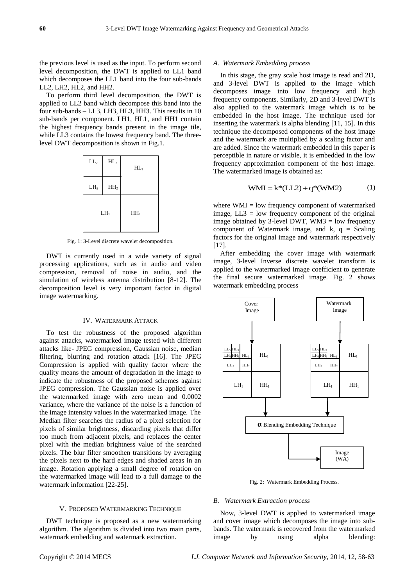the previous level is used as the input. To perform second level decomposition, the DWT is applied to LL1 band which decomposes the LL1 band into the four sub-bands LL2, LH2, HL2, and HH2.

To perform third level decomposition, the DWT is applied to LL2 band which decompose this band into the four sub-bands – LL3, LH3, HL3, HH3. This results in 10 sub-bands per component. LH1, HL1, and HH1 contain the highest frequency bands present in the image tile, while LL3 contains the lowest frequency band. The threelevel DWT decomposition is shown in Fig.1.



Fig. 1: 3-Level discrete wavelet decomposition.

DWT is currently used in a wide variety of signal processing applications, such as in audio and video compression, removal of noise in audio, and the simulation of wireless antenna distribution [8-12]. The decomposition level is very important factor in digital image watermarking.

## IV. WATERMARK ATTACK

To test the robustness of the proposed algorithm against attacks, watermarked image tested with different attacks like- JPEG compression, Gaussian noise, median filtering, blurring and rotation attack [16]. The JPEG Compression is applied with quality factor where the quality means the amount of degradation in the image to indicate the robustness of the proposed schemes against JPEG compression. The Gaussian noise is applied over the watermarked image with zero mean and 0.0002 variance, where the variance of the noise is a function of the image intensity values in the watermarked image. The Median filter searches the radius of a pixel selection for pixels of similar brightness, discarding pixels that differ too much from adjacent pixels, and replaces the center pixel with the median brightness value of the searched pixels. The blur filter smoothen transitions by averaging the pixels next to the hard edges and shaded areas in an image. Rotation applying a small degree of rotation on the watermarked image will lead to a full damage to the watermark information [22-25].

#### V. PROPOSED WATERMARKING TECHNIQUE

DWT technique is proposed as a new watermarking algorithm. The algorithm is divided into two main parts, watermark embedding and watermark extraction.

In this stage, the gray scale host image is read and 2D, and 3-level DWT is applied to the image which decomposes image into low frequency and high frequency components. Similarly, 2D and 3-level DWT is also applied to the watermark image which is to be embedded in the host image. The technique used for inserting the watermark is alpha blending [11, 15]. In this technique the decomposed components of the host image and the watermark are multiplied by a scaling factor and are added. Since the watermark embedded in this paper is perceptible in nature or visible, it is embedded in the low frequency approximation component of the host image. The watermarked image is obtained as:

$$
WMI = k*(LL2) + q*(WM2)
$$
 (1)

where WMI = low frequency component of watermarked image,  $LL3 = low$  frequency component of the original image obtained by 3-level DWT, WM3 = low frequency component of Watermark image, and  $k$ ,  $q =$  Scaling factors for the original image and watermark respectively [17].

After embedding the cover image with watermark image, 3-level Inverse discrete wavelet transform is applied to the watermarked image coefficient to generate the final secure watermarked image. Fig. 2 shows watermark embedding process



Fig. 2: Watermark Embedding Process.

## *B. Watermark Extraction process*

Now, 3-level DWT is applied to watermarked image and cover image which decomposes the image into subbands. The watermark is recovered from the watermarked image by using alpha blending: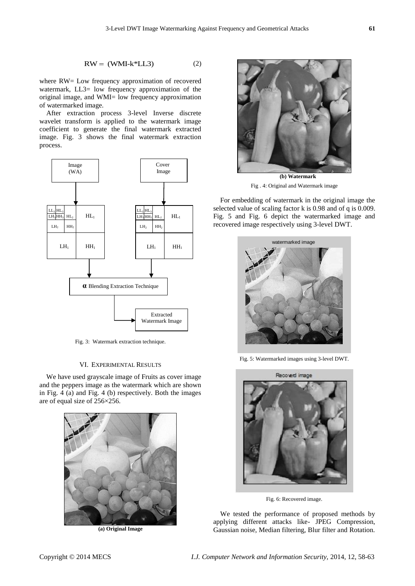$$
RW = (WMI - k^*LL3)
$$
 (2)

where RW= Low frequency approximation of recovered watermark, LL3= low frequency approximation of the original image, and WMI= low frequency approximation of watermarked image.

After extraction process 3-level Inverse discrete wavelet transform is applied to the watermark image coefficient to generate the final watermark extracted image. Fig. 3 shows the final watermark extraction process.



Fig. 3: Watermark extraction technique.

## VI. EXPERIMENTAL RESULTS

We have used grayscale image of Fruits as cover image and the peppers image as the watermark which are shown in Fig. 4 (a) and Fig. 4 (b) respectively. Both the images are of equal size of 256×256.



**(a) Original Image**



Fig . 4: Original and Watermark image

For embedding of watermark in the original image the selected value of scaling factor k is 0.98 and of q is 0.009. Fig. 5 and Fig. 6 depict the watermarked image and recovered image respectively using 3-level DWT.



Fig. 5: Watermarked images using 3-level DWT.



Fig. 6: Recovered image.

We tested the performance of proposed methods by applying different attacks like- JPEG Compression, Gaussian noise, Median filtering, Blur filter and Rotation.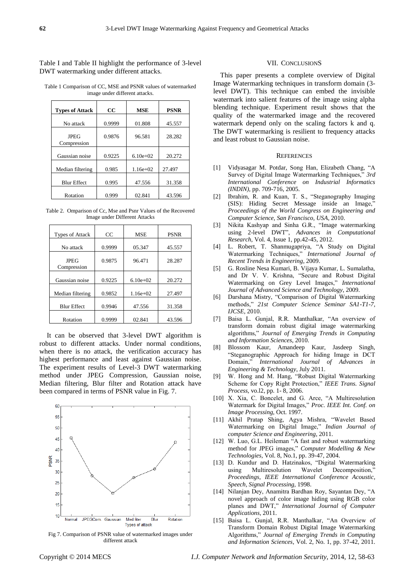Table I and Table II highlight the performance of 3-level DWT watermarking under different attacks.

Table 1 Comparison of CC, MSE and PSNR values of watermarked image under different attacks.

| <b>Types of Attack</b>     | $_{\rm CC}$ | <b>MSE</b> | <b>PSNR</b> |
|----------------------------|-------------|------------|-------------|
| No attack                  | 0.9999      | 01.808     | 45.557      |
| <b>JPEG</b><br>Compression | 0.9876      | 96.581     | 28.282      |
| Gaussian noise             | 0.9225      | $6.10e+02$ | 20.272      |
| Median filtering           | 0.985       | $1.16e+02$ | 27.497      |
| <b>Blur Effect</b>         | 0.995       | 47.556     | 31.358      |
| Rotation                   | 0.999       | 02.841     | 43.596      |

Table 2. Omparison of Cc, Mse and Psnr Values of the Recovered Image under Different Attacks

| <b>Types of Attack</b>     | CC     | <b>MSE</b> | <b>PSNR</b> |
|----------------------------|--------|------------|-------------|
| No attack                  | 0.9999 | 05.347     | 45.557      |
| <b>JPEG</b><br>Compression | 0.9875 | 96.471     | 28.287      |
| Gaussian noise             | 0.9225 | $6.10e+02$ | 20.272      |
| Median filtering           | 0.9852 | $1.16e+02$ | 27.497      |
| <b>Blur Effect</b>         | 0.9946 | 47.556     | 31.358      |
| Rotation                   | 0.9999 | 02.841     | 43.596      |

It can be observed that 3-level DWT algorithm is robust to different attacks. Under normal conditions, when there is no attack, the verification accuracy has highest performance and least against Gaussian noise. The experiment results of Level-3 DWT watermarking method under JPEG Compression, Gaussian noise, Median filtering, Blur filter and Rotation attack have been compared in terms of PSNR value in Fig. 7.



Fig 7. Comparison of PSNR value of watermarked images under different attack

#### VII. CONCLUSIONS

This paper presents a complete overview of Digital Image Watermarking techniques in transform domain (3 level DWT). This technique can embed the invisible watermark into salient features of the image using alpha blending technique. Experiment result shows that the quality of the watermarked image and the recovered watermark depend only on the scaling factors k and q. The DWT watermarking is resilient to frequency attacks and least robust to Gaussian noise.

## **REFERENCES**

- [1] Vidyasagar M. Potdar, Song Han, Elizabeth Chang, "A Survey of Digital Image Watermarking Techniques," 3rd *International Conference on Industrial Informatics (INDIN),* pp. 709-716, 2005.
- [2] Ibrahim, R. and Kuan, T. S., "Steganography Imaging (SIS): Hiding Secret Message inside an Image," *Proceedings of the World Congress on Engineering and Computer Science, San Francisco, USA*, 2010.
- [3] Nikita Kashyap and Sinha G.R., "Image watermarking using 2-level DWT", *Advances in Computational Research*, Vol. 4, Issue 1, pp.42-45, 2012.
- [4] L. Robert, T. Shanmugapriya, "A Study on Digital Watermarking Techniques," International Journal of *Recent Trends in Engineering*, 2009.
- [5] G. Rosline Nesa Kumari, B. Vijaya Kumar, L. Sumalatha, and Dr V. V. Krishna, "Secure and Robust Digital Watermarking on Grey Level Images," International *Journal of Advanced Science and Technology*, 2009.
- [6] Darshana Mistry, "Comparison of Digital Watermarking methods,‖ *21st Computer Science Seminar SA1-T1-7, IJCSE*, 2010.
- [7] Baisa L. Gunjal, R.R. Manthalkar, "An overview of transform domain robust digital image watermarking algorithms,‖ *Journal of Emerging Trends in Computing and Information Sciences*, 2010.
- [8] Blossom Kaur, Amandeep Kaur, Jasdeep Singh, ―Steganographic Approach for hiding Image in DCT Domain,‖ *International Journal of Advances in Engineering & Technology*, July 2011.
- [9] W. Hong and M. Hang, "Robust Digital Watermarking Scheme for Copy Right Protection," IEEE Trans. Signal *Process*, vo.l2, pp. 1- 8, 2006.
- [10] X. Xia, C. Boncelet, and G. Arce, "A Multiresolution Watermark for Digital Images," Proc. IEEE Int. Conf. on *Image Processing,* Oct. 1997.
- [11] Akhil Pratap Shing, Agya Mishra, "Wavelet Based Watermarking on Digital Image," Indian Journal of *computer Science and Engineering*, 2011.
- [12] W. Luo, G.L. Heileman "A fast and robust watermarking method for JPEG images," Computer Modelling & New *Technologies,* Vol. 8, No.1, pp. 39-47, 2004.
- [13] D. Kundur and D. Hatzinakos, "Digital Watermarking using Multiresolution Wavelet Decomposition, *Proceedings, IEEE International Conference Acoustic, Speech, Signal Processing,* 1998.
- [14] Nilanjan Dey, Anamitra Bardhan Roy, Sayantan Dey, "A novel approach of color image hiding using RGB color planes and DWT," *International Journal of Computer Applications*, 2011.
- [15] Baisa L. Gunjal, R.R. Manthalkar, "An Overview of Transform Domain Robust Digital Image Watermarking Algorithms,‖ *Journal of Emerging Trends in Computing and Information Sciences*, Vol. 2, No. 1, pp. 37-42, 2011.